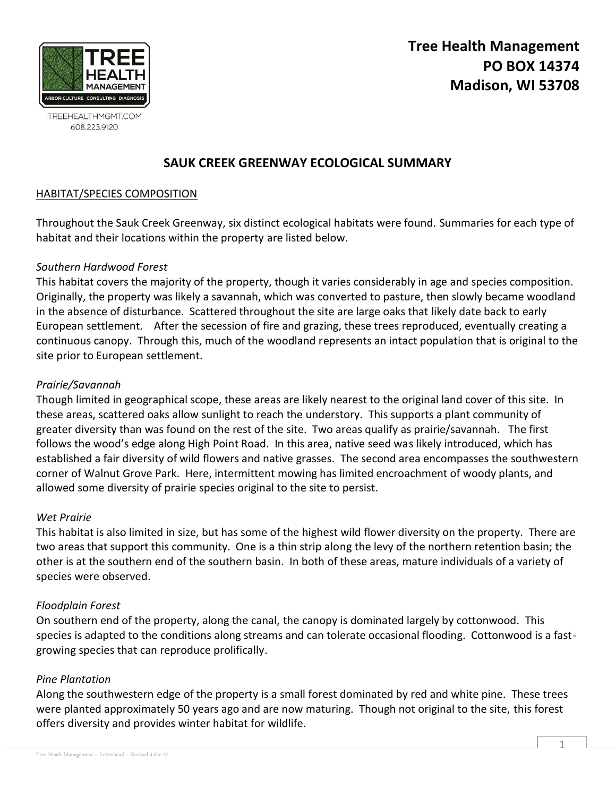

TREEHEALTHMGMT.COM 608.223.9120

# **SAUK CREEK GREENWAY ECOLOGICAL SUMMARY**

## HABITAT/SPECIES COMPOSITION

Throughout the Sauk Creek Greenway, six distinct ecological habitats were found. Summaries for each type of habitat and their locations within the property are listed below.

## *Southern Hardwood Forest*

This habitat covers the majority of the property, though it varies considerably in age and species composition. Originally, the property was likely a savannah, which was converted to pasture, then slowly became woodland in the absence of disturbance. Scattered throughout the site are large oaks that likely date back to early European settlement. After the secession of fire and grazing, these trees reproduced, eventually creating a continuous canopy. Through this, much of the woodland represents an intact population that is original to the site prior to European settlement.

#### *Prairie/Savannah*

Though limited in geographical scope, these areas are likely nearest to the original land cover of this site. In these areas, scattered oaks allow sunlight to reach the understory. This supports a plant community of greater diversity than was found on the rest of the site. Two areas qualify as prairie/savannah. The first follows the wood's edge along High Point Road. In this area, native seed was likely introduced, which has established a fair diversity of wild flowers and native grasses. The second area encompasses the southwestern corner of Walnut Grove Park. Here, intermittent mowing has limited encroachment of woody plants, and allowed some diversity of prairie species original to the site to persist.

#### *Wet Prairie*

This habitat is also limited in size, but has some of the highest wild flower diversity on the property. There are two areas that support this community. One is a thin strip along the levy of the northern retention basin; the other is at the southern end of the southern basin. In both of these areas, mature individuals of a variety of species were observed.

#### *Floodplain Forest*

On southern end of the property, along the canal, the canopy is dominated largely by cottonwood. This species is adapted to the conditions along streams and can tolerate occasional flooding. Cottonwood is a fastgrowing species that can reproduce prolifically.

## *Pine Plantation*

Along the southwestern edge of the property is a small forest dominated by red and white pine. These trees were planted approximately 50 years ago and are now maturing. Though not original to the site, this forest offers diversity and provides winter habitat for wildlife.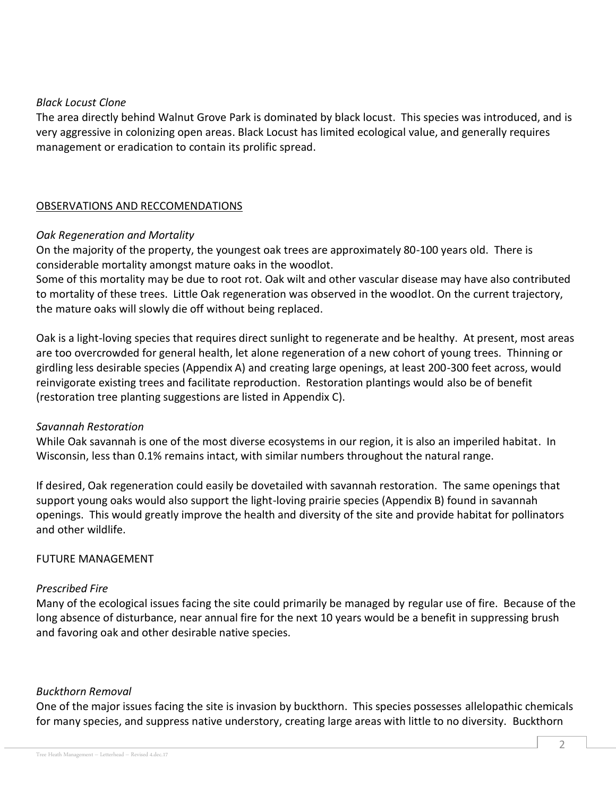#### *Black Locust Clone*

The area directly behind Walnut Grove Park is dominated by black locust. This species was introduced, and is very aggressive in colonizing open areas. Black Locust has limited ecological value, and generally requires management or eradication to contain its prolific spread.

## OBSERVATIONS AND RECCOMENDATIONS

## *Oak Regeneration and Mortality*

On the majority of the property, the youngest oak trees are approximately 80-100 years old. There is considerable mortality amongst mature oaks in the woodlot.

Some of this mortality may be due to root rot. Oak wilt and other vascular disease may have also contributed to mortality of these trees. Little Oak regeneration was observed in the woodlot. On the current trajectory, the mature oaks will slowly die off without being replaced.

Oak is a light-loving species that requires direct sunlight to regenerate and be healthy. At present, most areas are too overcrowded for general health, let alone regeneration of a new cohort of young trees. Thinning or girdling less desirable species (Appendix A) and creating large openings, at least 200-300 feet across, would reinvigorate existing trees and facilitate reproduction. Restoration plantings would also be of benefit (restoration tree planting suggestions are listed in Appendix C).

## *Savannah Restoration*

While Oak savannah is one of the most diverse ecosystems in our region, it is also an imperiled habitat. In Wisconsin, less than 0.1% remains intact, with similar numbers throughout the natural range.

If desired, Oak regeneration could easily be dovetailed with savannah restoration. The same openings that support young oaks would also support the light-loving prairie species (Appendix B) found in savannah openings. This would greatly improve the health and diversity of the site and provide habitat for pollinators and other wildlife.

## FUTURE MANAGEMENT

## *Prescribed Fire*

Many of the ecological issues facing the site could primarily be managed by regular use of fire. Because of the long absence of disturbance, near annual fire for the next 10 years would be a benefit in suppressing brush and favoring oak and other desirable native species.

#### *Buckthorn Removal*

One of the major issues facing the site is invasion by buckthorn. This species possesses allelopathic chemicals for many species, and suppress native understory, creating large areas with little to no diversity. Buckthorn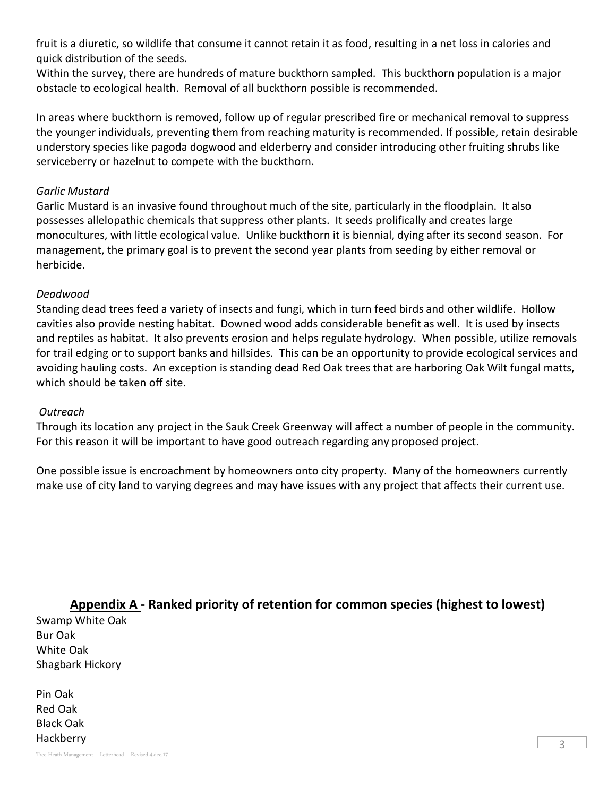fruit is a diuretic, so wildlife that consume it cannot retain it as food, resulting in a net loss in calories and quick distribution of the seeds.

Within the survey, there are hundreds of mature buckthorn sampled. This buckthorn population is a major obstacle to ecological health. Removal of all buckthorn possible is recommended.

In areas where buckthorn is removed, follow up of regular prescribed fire or mechanical removal to suppress the younger individuals, preventing them from reaching maturity is recommended. If possible, retain desirable understory species like pagoda dogwood and elderberry and consider introducing other fruiting shrubs like serviceberry or hazelnut to compete with the buckthorn.

## *Garlic Mustard*

Garlic Mustard is an invasive found throughout much of the site, particularly in the floodplain. It also possesses allelopathic chemicals that suppress other plants. It seeds prolifically and creates large monocultures, with little ecological value. Unlike buckthorn it is biennial, dying after its second season. For management, the primary goal is to prevent the second year plants from seeding by either removal or herbicide.

## *Deadwood*

Standing dead trees feed a variety of insects and fungi, which in turn feed birds and other wildlife. Hollow cavities also provide nesting habitat. Downed wood adds considerable benefit as well. It is used by insects and reptiles as habitat. It also prevents erosion and helps regulate hydrology. When possible, utilize removals for trail edging or to support banks and hillsides. This can be an opportunity to provide ecological services and avoiding hauling costs. An exception is standing dead Red Oak trees that are harboring Oak Wilt fungal matts, which should be taken off site.

## *Outreach*

Through its location any project in the Sauk Creek Greenway will affect a number of people in the community. For this reason it will be important to have good outreach regarding any proposed project.

One possible issue is encroachment by homeowners onto city property. Many of the homeowners currently make use of city land to varying degrees and may have issues with any project that affects their current use.

**Appendix A - Ranked priority of retention for common species (highest to lowest)** Swamp White Oak Bur Oak

White Oak Shagbark Hickory

Pin Oak Red Oak Black Oak Hackberry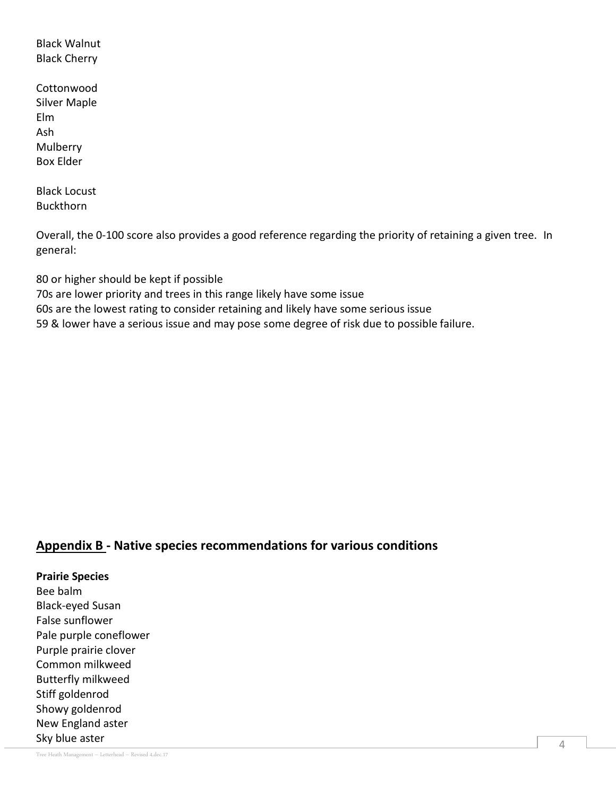Black Walnut Black Cherry

**Cottonwood** Silver Maple Elm Ash Mulberry Box Elder

Black Locust Buckthorn

Overall, the 0-100 score also provides a good reference regarding the priority of retaining a given tree. In general:

80 or higher should be kept if possible 70s are lower priority and trees in this range likely have some issue 60s are the lowest rating to consider retaining and likely have some serious issue 59 & lower have a serious issue and may pose some degree of risk due to possible failure.

# **Appendix B - Native species recommendations for various conditions**

**Prairie Species** Bee balm Black-eyed Susan False sunflower Pale purple coneflower Purple prairie clover Common milkweed Butterfly milkweed Stiff goldenrod Showy goldenrod New England aster Sky blue aster